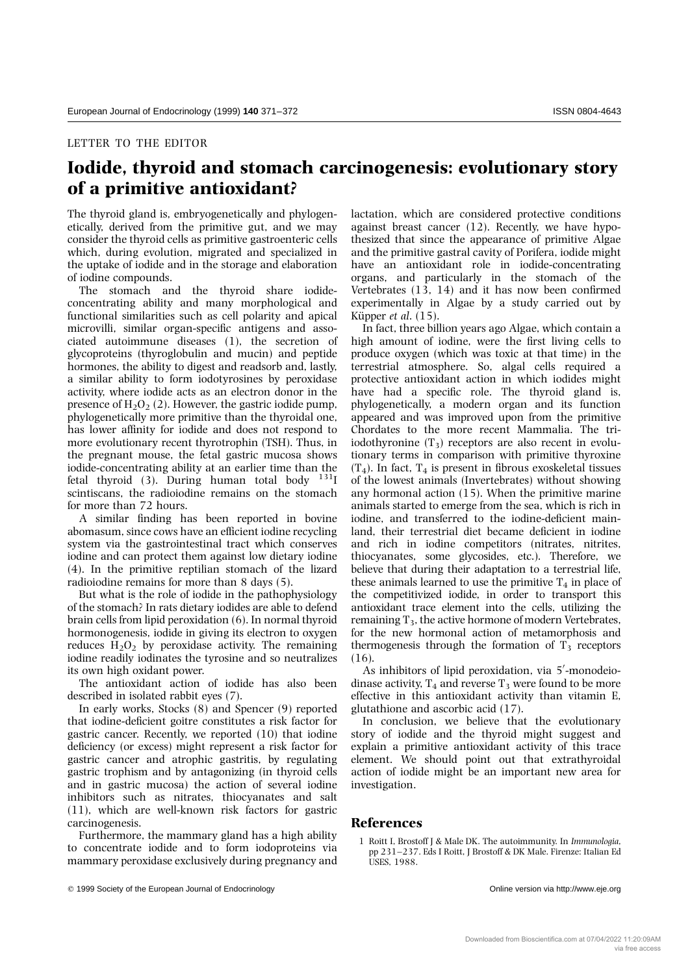## **Iodide, thyroid and stomach carcinogenesis: evolutionary story of a primitive antioxidant?**

The thyroid gland is, embryogenetically and phylogenetically, derived from the primitive gut, and we may consider the thyroid cells as primitive gastroenteric cells which, during evolution, migrated and specialized in the uptake of iodide and in the storage and elaboration of iodine compounds.

The stomach and the thyroid share iodideconcentrating ability and many morphological and functional similarities such as cell polarity and apical microvilli, similar organ-specific antigens and associated autoimmune diseases (1), the secretion of glycoproteins (thyroglobulin and mucin) and peptide hormones, the ability to digest and readsorb and, lastly, a similar ability to form iodotyrosines by peroxidase activity, where iodide acts as an electron donor in the presence of  $H_2O_2$  (2). However, the gastric iodide pump, phylogenetically more primitive than the thyroidal one, has lower affinity for iodide and does not respond to more evolutionary recent thyrotrophin (TSH). Thus, in the pregnant mouse, the fetal gastric mucosa shows iodide-concentrating ability at an earlier time than the fetal thyroid (3). During human total body  $131$ <sup>I</sup> scintiscans, the radioiodine remains on the stomach for more than 72 hours.

A similar finding has been reported in bovine abomasum, since cows have an efficient iodine recycling system via the gastrointestinal tract which conserves iodine and can protect them against low dietary iodine (4). In the primitive reptilian stomach of the lizard radioiodine remains for more than 8 days (5).

But what is the role of iodide in the pathophysiology of the stomach? In rats dietary iodides are able to defend brain cells from lipid peroxidation (6). In normal thyroid hormonogenesis, iodide in giving its electron to oxygen reduces  $H_2O_2$  by peroxidase activity. The remaining iodine readily iodinates the tyrosine and so neutralizes its own high oxidant power.

The antioxidant action of iodide has also been described in isolated rabbit eyes (7).

In early works, Stocks (8) and Spencer (9) reported that iodine-deficient goitre constitutes a risk factor for gastric cancer. Recently, we reported (10) that iodine deficiency (or excess) might represent a risk factor for gastric cancer and atrophic gastritis, by regulating gastric trophism and by antagonizing (in thyroid cells and in gastric mucosa) the action of several iodine inhibitors such as nitrates, thiocyanates and salt (11), which are well-known risk factors for gastric carcinogenesis.

Furthermore, the mammary gland has a high ability to concentrate iodide and to form iodoproteins via mammary peroxidase exclusively during pregnancy and lactation, which are considered protective conditions against breast cancer (12). Recently, we have hypothesized that since the appearance of primitive Algae and the primitive gastral cavity of Porifera, iodide might have an antioxidant role in iodide-concentrating organs, and particularly in the stomach of the Vertebrates  $(13, 14)$  and it has now been confirmed experimentally in Algae by a study carried out by Küpper et al. (15).

In fact, three billion years ago Algae, which contain a high amount of iodine, were the first living cells to produce oxygen (which was toxic at that time) in the terrestrial atmosphere. So, algal cells required a protective antioxidant action in which iodides might have had a specific role. The thyroid gland is, phylogenetically, a modern organ and its function appeared and was improved upon from the primitive Chordates to the more recent Mammalia. The triiodothyronine  $(T_3)$  receptors are also recent in evolutionary terms in comparison with primitive thyroxine  $(T_4)$ . In fact,  $T_4$  is present in fibrous exoskeletal tissues of the lowest animals (Invertebrates) without showing any hormonal action (15). When the primitive marine animals started to emerge from the sea, which is rich in iodine, and transferred to the iodine-deficient mainland, their terrestrial diet became deficient in iodine and rich in iodine competitors (nitrates, nitrites, thiocyanates, some glycosides, etc.). Therefore, we believe that during their adaptation to a terrestrial life, these animals learned to use the primitive  $T_4$  in place of the competitivized iodide, in order to transport this antioxidant trace element into the cells, utilizing the remaining  $T_3$ , the active hormone of modern Vertebrates, for the new hormonal action of metamorphosis and thermogenesis through the formation of  $T_3$  receptors (16).

As inhibitors of lipid peroxidation, via 5'-monodeiodinase activity,  $T_4$  and reverse  $T_3$  were found to be more effective in this antioxidant activity than vitamin E, glutathione and ascorbic acid (17).

In conclusion, we believe that the evolutionary story of iodide and the thyroid might suggest and explain a primitive antioxidant activity of this trace element. We should point out that extrathyroidal action of iodide might be an important new area for investigation.

## **References**

1 Roitt I, Brostoff J & Male DK. The autoimmunity. In *Immunologia*, pp 231–237. Eds I Roitt, J Brostoff & DK Male. Firenze: Italian Ed USES, 1988.

<sup>© 1999</sup> Society of the European Journal of Endocrinology **Online version via http://www.eje.org** Online version via http://www.eje.org